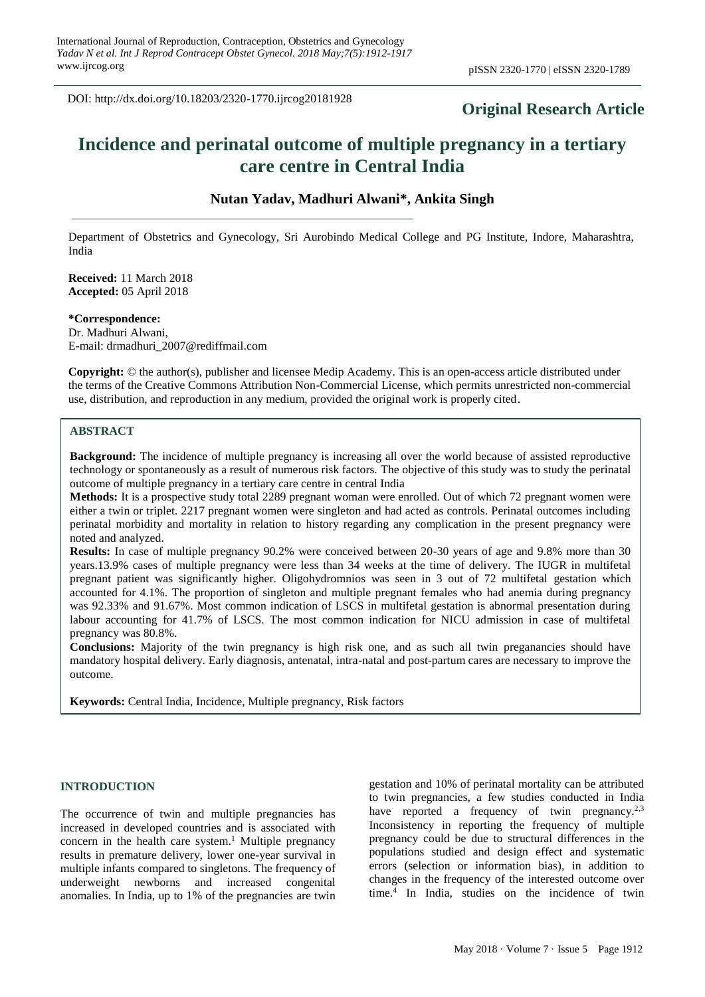DOI: http://dx.doi.org/10.18203/2320-1770.ijrcog20181928

# **Original Research Article**

# **Incidence and perinatal outcome of multiple pregnancy in a tertiary care centre in Central India**

# **Nutan Yadav, Madhuri Alwani\*, Ankita Singh**

Department of Obstetrics and Gynecology, Sri Aurobindo Medical College and PG Institute, Indore, Maharashtra, India

**Received:** 11 March 2018 **Accepted:** 05 April 2018

## **\*Correspondence:**

Dr. Madhuri Alwani, E-mail: drmadhuri\_2007@rediffmail.com

**Copyright:** © the author(s), publisher and licensee Medip Academy. This is an open-access article distributed under the terms of the Creative Commons Attribution Non-Commercial License, which permits unrestricted non-commercial use, distribution, and reproduction in any medium, provided the original work is properly cited.

#### **ABSTRACT**

**Background:** The incidence of multiple pregnancy is increasing all over the world because of assisted reproductive technology or spontaneously as a result of numerous risk factors. The objective of this study was to study the perinatal outcome of multiple pregnancy in a tertiary care centre in central India

**Methods:** It is a prospective study total 2289 pregnant woman were enrolled. Out of which 72 pregnant women were either a twin or triplet. 2217 pregnant women were singleton and had acted as controls. Perinatal outcomes including perinatal morbidity and mortality in relation to history regarding any complication in the present pregnancy were noted and analyzed.

**Results:** In case of multiple pregnancy 90.2% were conceived between 20-30 years of age and 9.8% more than 30 years.13.9% cases of multiple pregnancy were less than 34 weeks at the time of delivery. The IUGR in multifetal pregnant patient was significantly higher. Oligohydromnios was seen in 3 out of 72 multifetal gestation which accounted for 4.1%. The proportion of singleton and multiple pregnant females who had anemia during pregnancy was 92.33% and 91.67%. Most common indication of LSCS in multifetal gestation is abnormal presentation during labour accounting for 41.7% of LSCS. The most common indication for NICU admission in case of multifetal pregnancy was 80.8%.

**Conclusions:** Majority of the twin pregnancy is high risk one, and as such all twin preganancies should have mandatory hospital delivery. Early diagnosis, antenatal, intra-natal and post-partum cares are necessary to improve the outcome.

**Keywords:** Central India, Incidence, Multiple pregnancy, Risk factors

#### **INTRODUCTION**

The occurrence of twin and multiple pregnancies has increased in developed countries and is associated with concern in the health care system.<sup>1</sup> Multiple pregnancy results in premature delivery, lower one-year survival in multiple infants compared to singletons. The frequency of underweight newborns and increased congenital anomalies. In India, up to 1% of the pregnancies are twin gestation and 10% of perinatal mortality can be attributed to twin pregnancies, a few studies conducted in India have reported a frequency of twin pregnancy.<sup>2,3</sup> Inconsistency in reporting the frequency of multiple pregnancy could be due to structural differences in the populations studied and design effect and systematic errors (selection or information bias), in addition to changes in the frequency of the interested outcome over time. 4 In India, studies on the incidence of twin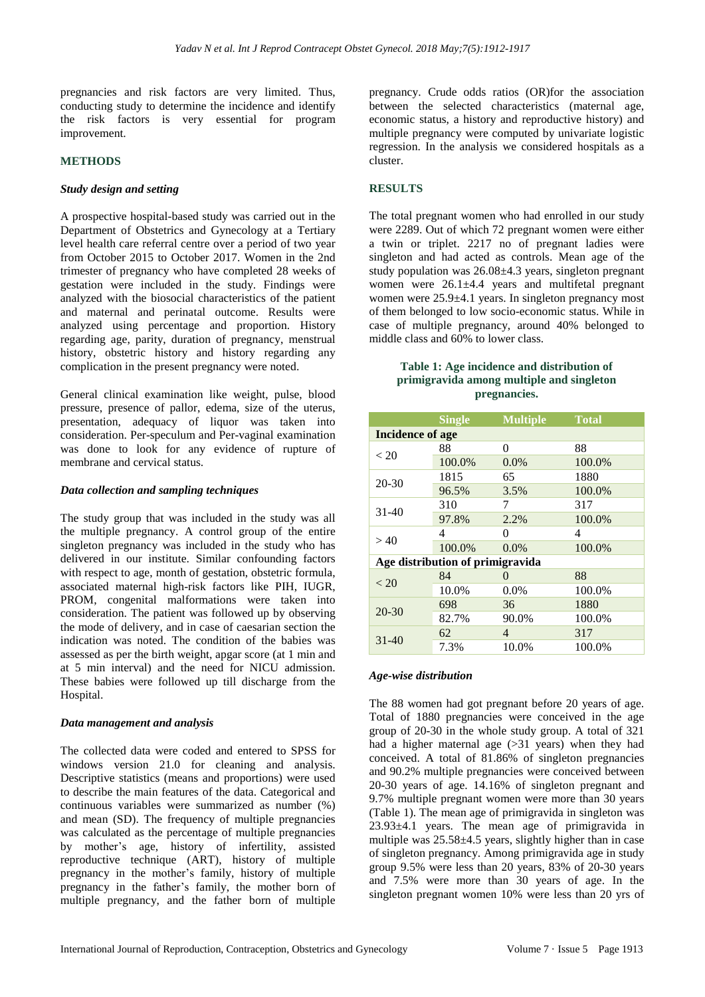pregnancies and risk factors are very limited. Thus, conducting study to determine the incidence and identify the risk factors is very essential for program improvement.

## **METHODS**

#### *Study design and setting*

A prospective hospital-based study was carried out in the Department of Obstetrics and Gynecology at a Tertiary level health care referral centre over a period of two year from October 2015 to October 2017. Women in the 2nd trimester of pregnancy who have completed 28 weeks of gestation were included in the study. Findings were analyzed with the biosocial characteristics of the patient and maternal and perinatal outcome. Results were analyzed using percentage and proportion. History regarding age, parity, duration of pregnancy, menstrual history, obstetric history and history regarding any complication in the present pregnancy were noted.

General clinical examination like weight, pulse, blood pressure, presence of pallor, edema, size of the uterus, presentation, adequacy of liquor was taken into consideration. Per-speculum and Per-vaginal examination was done to look for any evidence of rupture of membrane and cervical status.

#### *Data collection and sampling techniques*

The study group that was included in the study was all the multiple pregnancy. A control group of the entire singleton pregnancy was included in the study who has delivered in our institute. Similar confounding factors with respect to age, month of gestation, obstetric formula, associated maternal high-risk factors like PIH, IUGR, PROM, congenital malformations were taken into consideration. The patient was followed up by observing the mode of delivery, and in case of caesarian section the indication was noted. The condition of the babies was assessed as per the birth weight, apgar score (at 1 min and at 5 min interval) and the need for NICU admission. These babies were followed up till discharge from the Hospital.

#### *Data management and analysis*

The collected data were coded and entered to SPSS for windows version 21.0 for cleaning and analysis. Descriptive statistics (means and proportions) were used to describe the main features of the data. Categorical and continuous variables were summarized as number (%) and mean (SD). The frequency of multiple pregnancies was calculated as the percentage of multiple pregnancies by mother's age, history of infertility, assisted reproductive technique (ART), history of multiple pregnancy in the mother's family, history of multiple pregnancy in the father's family, the mother born of multiple pregnancy, and the father born of multiple

pregnancy. Crude odds ratios (OR)for the association between the selected characteristics (maternal age, economic status, a history and reproductive history) and multiple pregnancy were computed by univariate logistic regression. In the analysis we considered hospitals as a cluster.

#### **RESULTS**

The total pregnant women who had enrolled in our study were 2289. Out of which 72 pregnant women were either a twin or triplet. 2217 no of pregnant ladies were singleton and had acted as controls. Mean age of the study population was 26.08±4.3 years, singleton pregnant women were 26.1±4.4 years and multifetal pregnant women were 25.9±4.1 years. In singleton pregnancy most of them belonged to low socio-economic status. While in case of multiple pregnancy, around 40% belonged to middle class and 60% to lower class.

# **Table 1: Age incidence and distribution of primigravida among multiple and singleton pregnancies.**

|                                  | <b>Single</b> | <b>Multiple</b>   | <b>Total</b> |  |  |
|----------------------------------|---------------|-------------------|--------------|--|--|
| Incidence of age                 |               |                   |              |  |  |
| < 20                             | 88            | 0                 | 88           |  |  |
|                                  | 100.0%        | 0.0%              | 100.0%       |  |  |
| 20-30                            | 1815          | 65                | 1880         |  |  |
|                                  | 96.5%         | 3.5%              | 100.0%       |  |  |
| $31-40$                          | 310           | 7                 | 317          |  |  |
|                                  | 97.8%         | 2.2%              | 100.0%       |  |  |
| >40                              | 4             | 0                 | 4            |  |  |
|                                  | 100.0%        | $0.0\%$           | 100.0%       |  |  |
| Age distribution of primigravida |               |                   |              |  |  |
| < 20                             | 84            | $\mathbf{\Omega}$ | 88           |  |  |
|                                  | 10.0%         | $0.0\%$           | 100.0%       |  |  |
| $20 - 30$                        | 698           | 36                | 1880         |  |  |
|                                  | 82.7%         | 90.0%             | 100.0%       |  |  |
| $31 - 40$                        | 62            | 4                 | 317          |  |  |
|                                  | 7.3%          | 10.0%             | 100.0%       |  |  |

#### *Age-wise distribution*

The 88 women had got pregnant before 20 years of age. Total of 1880 pregnancies were conceived in the age group of 20-30 in the whole study group. A total of 321 had a higher maternal age (> 31 years) when they had conceived. A total of 81.86% of singleton pregnancies and 90.2% multiple pregnancies were conceived between 20-30 years of age. 14.16% of singleton pregnant and 9.7% multiple pregnant women were more than 30 years (Table 1). The mean age of primigravida in singleton was 23.93±4.1 years. The mean age of primigravida in multiple was 25.58±4.5 years, slightly higher than in case of singleton pregnancy. Among primigravida age in study group 9.5% were less than 20 years, 83% of 20-30 years and 7.5% were more than 30 years of age. In the singleton pregnant women 10% were less than 20 yrs of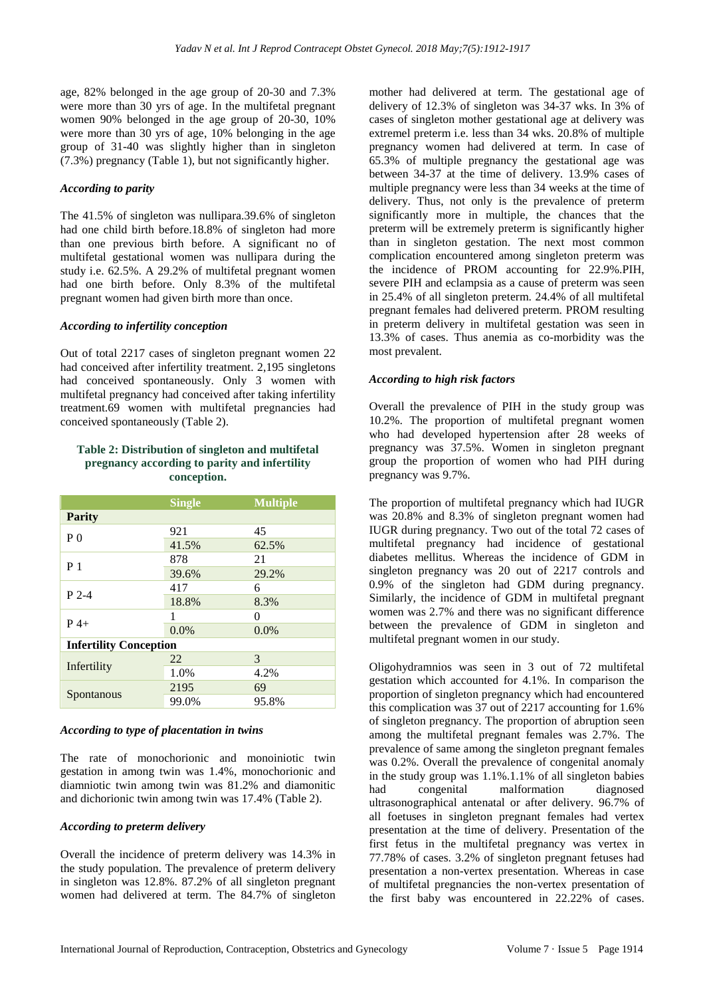age, 82% belonged in the age group of 20-30 and 7.3% were more than 30 yrs of age. In the multifetal pregnant women 90% belonged in the age group of 20-30, 10% were more than 30 yrs of age, 10% belonging in the age group of 31-40 was slightly higher than in singleton (7.3%) pregnancy (Table 1), but not significantly higher.

# *According to parity*

The 41.5% of singleton was nullipara.39.6% of singleton had one child birth before.18.8% of singleton had more than one previous birth before. A significant no of multifetal gestational women was nullipara during the study i.e. 62.5%. A 29.2% of multifetal pregnant women had one birth before. Only 8.3% of the multifetal pregnant women had given birth more than once.

# *According to infertility conception*

Out of total 2217 cases of singleton pregnant women 22 had conceived after infertility treatment. 2,195 singletons had conceived spontaneously. Only 3 women with multifetal pregnancy had conceived after taking infertility treatment.69 women with multifetal pregnancies had conceived spontaneously (Table 2).

## **Table 2: Distribution of singleton and multifetal pregnancy according to parity and infertility conception.**

|                               | <b>Single</b> | <b>Multiple</b> |  |  |
|-------------------------------|---------------|-----------------|--|--|
| <b>Parity</b>                 |               |                 |  |  |
| P(                            | 921           | 45              |  |  |
|                               | 41.5%         | 62.5%           |  |  |
| P <sub>1</sub>                | 878           | 21              |  |  |
|                               | 39.6%         | 29.2%           |  |  |
| $P$ 2-4                       | 417           | 6               |  |  |
|                               | 18.8%         | 8.3%            |  |  |
| $P_4+$                        | 1             | $\theta$        |  |  |
|                               | 0.0%          | 0.0%            |  |  |
| <b>Infertility Conception</b> |               |                 |  |  |
|                               | 22            | 3               |  |  |
| Infertility                   | 1.0%          | 4.2%            |  |  |
|                               | 2195          | 69              |  |  |
| Spontanous                    | 99.0%         | 95.8%           |  |  |

# *According to type of placentation in twins*

The rate of monochorionic and monoiniotic twin gestation in among twin was 1.4%, monochorionic and diamniotic twin among twin was 81.2% and diamonitic and dichorionic twin among twin was 17.4% (Table 2).

# *According to preterm delivery*

Overall the incidence of preterm delivery was 14.3% in the study population. The prevalence of preterm delivery in singleton was 12.8%. 87.2% of all singleton pregnant women had delivered at term. The 84.7% of singleton mother had delivered at term. The gestational age of delivery of 12.3% of singleton was 34-37 wks. In 3% of cases of singleton mother gestational age at delivery was extremel preterm i.e. less than 34 wks. 20.8% of multiple pregnancy women had delivered at term. In case of 65.3% of multiple pregnancy the gestational age was between 34-37 at the time of delivery. 13.9% cases of multiple pregnancy were less than 34 weeks at the time of delivery. Thus, not only is the prevalence of preterm significantly more in multiple, the chances that the preterm will be extremely preterm is significantly higher than in singleton gestation. The next most common complication encountered among singleton preterm was the incidence of PROM accounting for 22.9%.PIH, severe PIH and eclampsia as a cause of preterm was seen in 25.4% of all singleton preterm. 24.4% of all multifetal pregnant females had delivered preterm. PROM resulting in preterm delivery in multifetal gestation was seen in 13.3% of cases. Thus anemia as co-morbidity was the most prevalent.

# *According to high risk factors*

Overall the prevalence of PIH in the study group was 10.2%. The proportion of multifetal pregnant women who had developed hypertension after 28 weeks of pregnancy was 37.5%. Women in singleton pregnant group the proportion of women who had PIH during pregnancy was 9.7%.

The proportion of multifetal pregnancy which had IUGR was 20.8% and 8.3% of singleton pregnant women had IUGR during pregnancy. Two out of the total 72 cases of multifetal pregnancy had incidence of gestational diabetes mellitus. Whereas the incidence of GDM in singleton pregnancy was 20 out of 2217 controls and 0.9% of the singleton had GDM during pregnancy. Similarly, the incidence of GDM in multifetal pregnant women was 2.7% and there was no significant difference between the prevalence of GDM in singleton and multifetal pregnant women in our study.

Oligohydramnios was seen in 3 out of 72 multifetal gestation which accounted for 4.1%. In comparison the proportion of singleton pregnancy which had encountered this complication was 37 out of 2217 accounting for 1.6% of singleton pregnancy. The proportion of abruption seen among the multifetal pregnant females was 2.7%. The prevalence of same among the singleton pregnant females was 0.2%. Overall the prevalence of congenital anomaly in the study group was 1.1%.1.1% of all singleton babies had congenital malformation diagnosed ultrasonographical antenatal or after delivery. 96.7% of all foetuses in singleton pregnant females had vertex presentation at the time of delivery. Presentation of the first fetus in the multifetal pregnancy was vertex in 77.78% of cases. 3.2% of singleton pregnant fetuses had presentation a non-vertex presentation. Whereas in case of multifetal pregnancies the non-vertex presentation of the first baby was encountered in 22.22% of cases.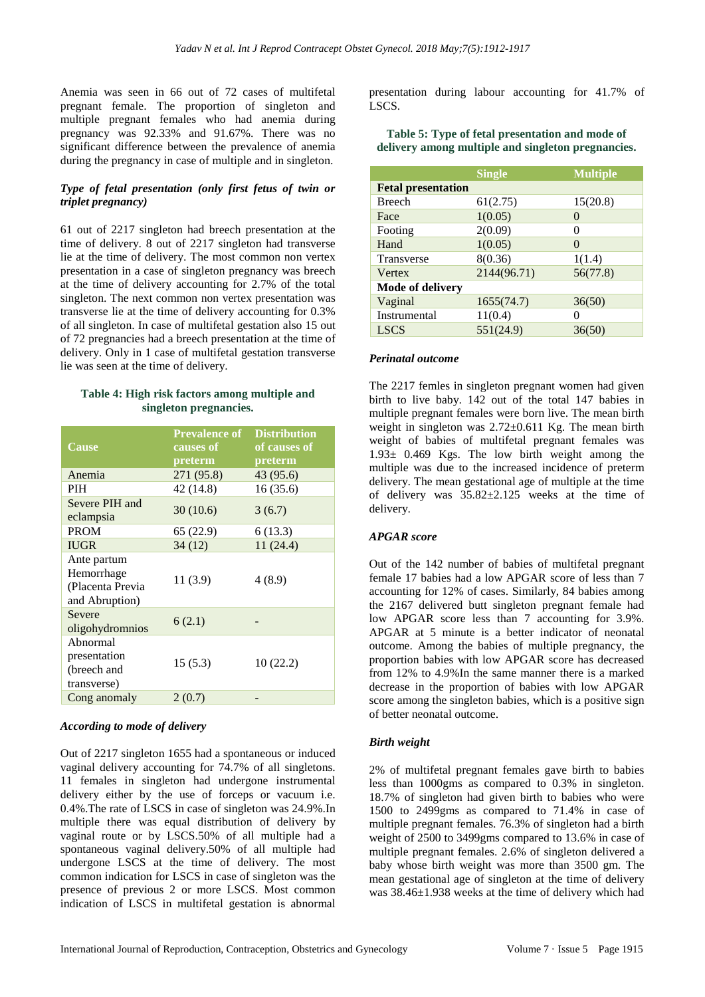Anemia was seen in 66 out of 72 cases of multifetal pregnant female. The proportion of singleton and multiple pregnant females who had anemia during pregnancy was 92.33% and 91.67%. There was no significant difference between the prevalence of anemia during the pregnancy in case of multiple and in singleton.

# *Type of fetal presentation (only first fetus of twin or triplet pregnancy)*

61 out of 2217 singleton had breech presentation at the time of delivery. 8 out of 2217 singleton had transverse lie at the time of delivery. The most common non vertex presentation in a case of singleton pregnancy was breech at the time of delivery accounting for 2.7% of the total singleton. The next common non vertex presentation was transverse lie at the time of delivery accounting for 0.3% of all singleton. In case of multifetal gestation also 15 out of 72 pregnancies had a breech presentation at the time of delivery. Only in 1 case of multifetal gestation transverse lie was seen at the time of delivery.

## **Table 4: High risk factors among multiple and singleton pregnancies.**

| <b>Cause</b>                                                    | <b>Prevalence of</b><br>causes of<br>preterm | <b>Distribution</b><br>of causes of<br>preterm |
|-----------------------------------------------------------------|----------------------------------------------|------------------------------------------------|
| Anemia                                                          | 271 (95.8)                                   | 43 (95.6)                                      |
| <b>PIH</b>                                                      | 42 (14.8)                                    | 16(35.6)                                       |
| Severe PIH and<br>eclampsia                                     | 30(10.6)                                     | 3(6.7)                                         |
| <b>PROM</b>                                                     | 65 (22.9)                                    | 6(13.3)                                        |
| <b>IUGR</b>                                                     | 34(12)                                       | 11(24.4)                                       |
| Ante partum<br>Hemorrhage<br>(Placenta Previa<br>and Abruption) | 11(3.9)                                      | 4(8.9)                                         |
| Severe<br>oligohydromnios                                       | 6(2.1)                                       |                                                |
| Abnormal<br>presentation<br>(breech and<br>transverse)          | 15(5.3)                                      | 10(22.2)                                       |
| Cong anomaly                                                    | 2(0.7)                                       |                                                |

#### *According to mode of delivery*

Out of 2217 singleton 1655 had a spontaneous or induced vaginal delivery accounting for 74.7% of all singletons. 11 females in singleton had undergone instrumental delivery either by the use of forceps or vacuum i.e. 0.4%.The rate of LSCS in case of singleton was 24.9%.In multiple there was equal distribution of delivery by vaginal route or by LSCS.50% of all multiple had a spontaneous vaginal delivery.50% of all multiple had undergone LSCS at the time of delivery. The most common indication for LSCS in case of singleton was the presence of previous 2 or more LSCS. Most common indication of LSCS in multifetal gestation is abnormal presentation during labour accounting for 41.7% of LSCS.

#### **Table 5: Type of fetal presentation and mode of delivery among multiple and singleton pregnancies.**

|                           | <b>Single</b> | <b>Multiple</b> |
|---------------------------|---------------|-----------------|
| <b>Fetal presentation</b> |               |                 |
| <b>Breech</b>             | 61(2.75)      | 15(20.8)        |
| Face                      | 1(0.05)       | $\theta$        |
| Footing                   | 2(0.09)       | 0               |
| Hand                      | 1(0.05)       | $\theta$        |
| Transverse                | 8(0.36)       | 1(1.4)          |
| Vertex                    | 2144(96.71)   | 56(77.8)        |
| Mode of delivery          |               |                 |
| Vaginal                   | 1655(74.7)    | 36(50)          |
| Instrumental              | 11(0.4)       |                 |
| <b>LSCS</b>               | 551(24.9)     | 36(50)          |

#### *Perinatal outcome*

The 2217 femles in singleton pregnant women had given birth to live baby. 142 out of the total 147 babies in multiple pregnant females were born live. The mean birth weight in singleton was  $2.72\pm0.611$  Kg. The mean birth weight of babies of multifetal pregnant females was 1.93± 0.469 Kgs. The low birth weight among the multiple was due to the increased incidence of preterm delivery. The mean gestational age of multiple at the time of delivery was 35.82±2.125 weeks at the time of delivery.

#### *APGAR score*

Out of the 142 number of babies of multifetal pregnant female 17 babies had a low APGAR score of less than 7 accounting for 12% of cases. Similarly, 84 babies among the 2167 delivered butt singleton pregnant female had low APGAR score less than 7 accounting for 3.9%. APGAR at 5 minute is a better indicator of neonatal outcome. Among the babies of multiple pregnancy, the proportion babies with low APGAR score has decreased from 12% to 4.9%In the same manner there is a marked decrease in the proportion of babies with low APGAR score among the singleton babies, which is a positive sign of better neonatal outcome.

#### *Birth weight*

2% of multifetal pregnant females gave birth to babies less than 1000gms as compared to 0.3% in singleton. 18.7% of singleton had given birth to babies who were 1500 to 2499gms as compared to 71.4% in case of multiple pregnant females. 76.3% of singleton had a birth weight of 2500 to 3499gms compared to 13.6% in case of multiple pregnant females. 2.6% of singleton delivered a baby whose birth weight was more than 3500 gm. The mean gestational age of singleton at the time of delivery was 38.46±1.938 weeks at the time of delivery which had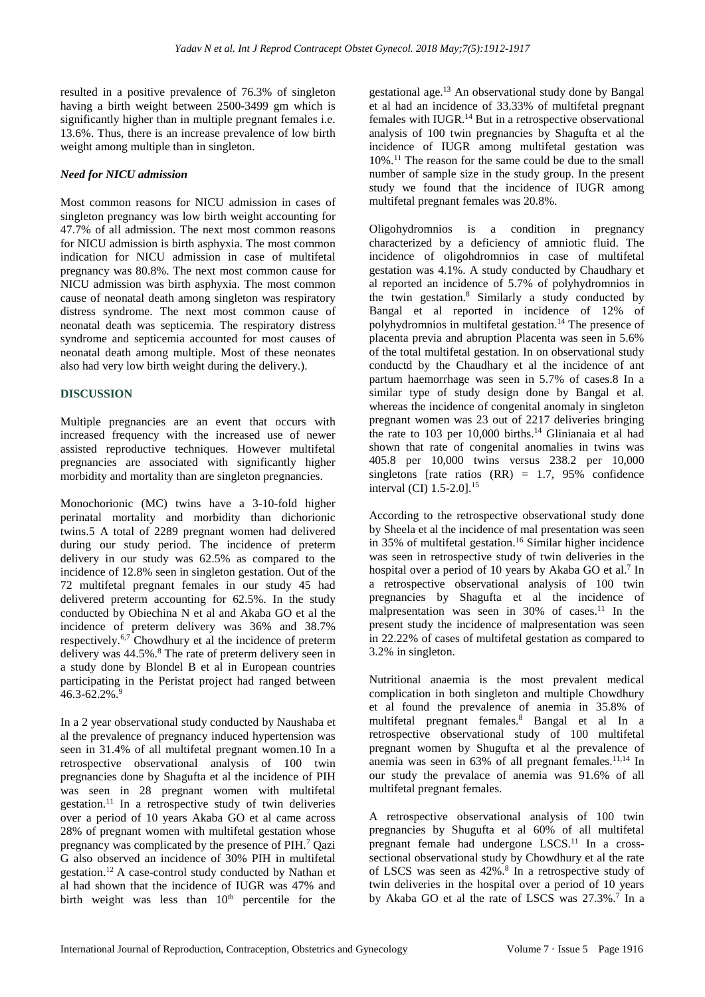resulted in a positive prevalence of 76.3% of singleton having a birth weight between 2500-3499 gm which is significantly higher than in multiple pregnant females i.e. 13.6%. Thus, there is an increase prevalence of low birth weight among multiple than in singleton.

# *Need for NICU admission*

Most common reasons for NICU admission in cases of singleton pregnancy was low birth weight accounting for 47.7% of all admission. The next most common reasons for NICU admission is birth asphyxia. The most common indication for NICU admission in case of multifetal pregnancy was 80.8%. The next most common cause for NICU admission was birth asphyxia. The most common cause of neonatal death among singleton was respiratory distress syndrome. The next most common cause of neonatal death was septicemia. The respiratory distress syndrome and septicemia accounted for most causes of neonatal death among multiple. Most of these neonates also had very low birth weight during the delivery.).

# **DISCUSSION**

Multiple pregnancies are an event that occurs with increased frequency with the increased use of newer assisted reproductive techniques. However multifetal pregnancies are associated with significantly higher morbidity and mortality than are singleton pregnancies.

Monochorionic (MC) twins have a 3-10-fold higher perinatal mortality and morbidity than dichorionic twins.5 A total of 2289 pregnant women had delivered during our study period. The incidence of preterm delivery in our study was 62.5% as compared to the incidence of 12.8% seen in singleton gestation. Out of the 72 multifetal pregnant females in our study 45 had delivered preterm accounting for 62.5%. In the study conducted by Obiechina N et al and Akaba GO et al the incidence of preterm delivery was 36% and 38.7% respectively.6,7 Chowdhury et al the incidence of preterm delivery was 44.5%.<sup>8</sup> The rate of preterm delivery seen in a study done by Blondel B et al in European countries participating in the Peristat project had ranged between  $46.3 - 62.2\%$ .

In a 2 year observational study conducted by Naushaba et al the prevalence of pregnancy induced hypertension was seen in 31.4% of all multifetal pregnant women.10 In a retrospective observational analysis of 100 twin pregnancies done by Shagufta et al the incidence of PIH was seen in 28 pregnant women with multifetal gestation.<sup>11</sup> In a retrospective study of twin deliveries over a period of 10 years Akaba GO et al came across 28% of pregnant women with multifetal gestation whose pregnancy was complicated by the presence of PIH.<sup>7</sup> Qazi G also observed an incidence of 30% PIH in multifetal gestation.<sup>12</sup>A case-control study conducted by Nathan et al had shown that the incidence of IUGR was 47% and birth weight was less than  $10<sup>th</sup>$  percentile for the gestational age.<sup>13</sup> An observational study done by Bangal et al had an incidence of 33.33% of multifetal pregnant females with IUGR.<sup>14</sup> But in a retrospective observational analysis of 100 twin pregnancies by Shagufta et al the incidence of IUGR among multifetal gestation was 10%.<sup>11</sup> The reason for the same could be due to the small number of sample size in the study group. In the present study we found that the incidence of IUGR among multifetal pregnant females was 20.8%.

Oligohydromnios is a condition in pregnancy characterized by a deficiency of amniotic fluid. The incidence of oligohdromnios in case of multifetal gestation was 4.1%. A study conducted by Chaudhary et al reported an incidence of 5.7% of polyhydromnios in the twin gestation.<sup>8</sup> Similarly a study conducted by Bangal et al reported in incidence of 12% of polyhydromnios in multifetal gestation.<sup>14</sup> The presence of placenta previa and abruption Placenta was seen in 5.6% of the total multifetal gestation. In on observational study conductd by the Chaudhary et al the incidence of ant partum haemorrhage was seen in 5.7% of cases.8 In a similar type of study design done by Bangal et al. whereas the incidence of congenital anomaly in singleton pregnant women was 23 out of 2217 deliveries bringing the rate to 103 per 10,000 births.<sup>14</sup> Glinianaia et al had shown that rate of congenital anomalies in twins was 405.8 per 10,000 twins versus 238.2 per 10,000 singletons [rate ratios  $(RR) = 1.7, 95\%$  confidence interval (CI) 1.5-2.0].<sup>15</sup>

According to the retrospective observational study done by Sheela et al the incidence of mal presentation was seen in 35% of multifetal gestation.<sup>16</sup> Similar higher incidence was seen in retrospective study of twin deliveries in the hospital over a period of 10 years by Akaba GO et al.<sup>7</sup> In a retrospective observational analysis of 100 twin pregnancies by Shagufta et al the incidence of malpresentation was seen in  $30\%$  of cases.<sup>11</sup> In the present study the incidence of malpresentation was seen in 22.22% of cases of multifetal gestation as compared to 3.2% in singleton.

Nutritional anaemia is the most prevalent medical complication in both singleton and multiple Chowdhury et al found the prevalence of anemia in 35.8% of multifetal pregnant females.<sup>8</sup> Bangal et al In a retrospective observational study of 100 multifetal pregnant women by Shugufta et al the prevalence of anemia was seen in  $63\%$  of all pregnant females.<sup>11,14</sup> In our study the prevalace of anemia was 91.6% of all multifetal pregnant females.

A retrospective observational analysis of 100 twin pregnancies by Shugufta et al 60% of all multifetal pregnant female had undergone LSCS.<sup>11</sup> In a crosssectional observational study by Chowdhury et al the rate of LSCS was seen as 42%.<sup>8</sup> In a retrospective study of twin deliveries in the hospital over a period of 10 years by Akaba GO et al the rate of LSCS was 27.3%.<sup>7</sup> In a